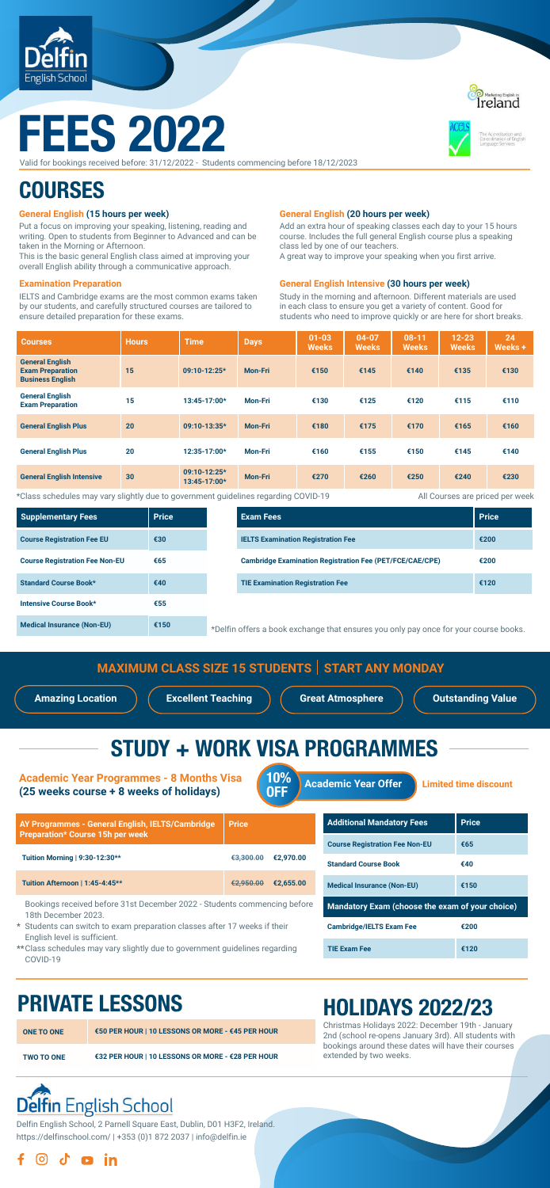

# FEES 2022

### **General English (15 hours per week)**

| <b>Courses</b>                                                               | <b>Hours</b> | <b>Time</b>                  | <b>Days</b>    | $01 - 03$<br><b>Weeks</b> | $04 - 07$<br><b>Weeks</b> | $08 - 11$<br><b>Weeks</b> | $12 - 23$<br><b>Weeks</b> | 24<br>Weeks + |
|------------------------------------------------------------------------------|--------------|------------------------------|----------------|---------------------------|---------------------------|---------------------------|---------------------------|---------------|
| <b>General English</b><br><b>Exam Preparation</b><br><b>Business English</b> | 15           | 09:10-12:25*                 | <b>Mon-Fri</b> | €150                      | €145                      | €140                      | €135                      | €130          |
| <b>General English</b><br><b>Exam Preparation</b>                            | 15           | 13:45-17:00*                 | <b>Mon-Fri</b> | €130                      | €125                      | €120                      | €115                      | €110          |
| <b>General English Plus</b>                                                  | 20           | 09:10-13:35*                 | <b>Mon-Fri</b> | €180                      | €175                      | €170                      | €165                      | €160          |
| <b>General English Plus</b>                                                  | 20           | 12:35-17:00*                 | <b>Mon-Fri</b> | €160                      | €155                      | €150                      | €145                      | €140          |
| <b>General English Intensive</b>                                             | 30           | 09:10-12:25*<br>13:45-17:00* | <b>Mon-Fri</b> | €270                      | €260                      | €250                      | €240                      | €230          |

Put a focus on improving your speaking, listening, reading and writing. Open to students from Beginner to Advanced and can be taken in the Morning or Afternoon.

This is the basic general English class aimed at improving your overall English ability through a communicative approach.

### **General English (20 hours per week)**

Add an extra hour of speaking classes each day to your 15 hours course. Includes the full general English course plus a speaking class led by one of our teachers.

A great way to improve your speaking when you first arrive.

### **Examination Preparation**

IELTS and Cambridge exams are the most common exams taken by our students, and carefully structured courses are tailored to ensure detailed preparation for these exams.

\*Class schedules may vary slightly due to government guidelines regarding COVID-19

### **General English Intensive (30 hours per week)**

Study in the morning and afternoon. Different materials are used in each class to ensure you get a variety of content. Good for students who need to improve quickly or are here for short breaks.

| <b>MAXIMUM CLASS SIZE 15 STUDENTS   START ANY MONDAY</b> |                                                                                               |                              |  |  |  |
|----------------------------------------------------------|-----------------------------------------------------------------------------------------------|------------------------------|--|--|--|
| <b>Amazing Location</b><br><b>Excellent Teaching</b>     | <b>Great Atmosphere</b>                                                                       | <b>Outstanding Value</b>     |  |  |  |
| <b>Academic Year Programmes - 8 Months Visa</b>          | <b>STUDY + WORK VISA PROGRAMMES</b><br><b>10%</b><br><b>Academic Year Offer</b><br><b>OFF</b> | <b>Limited time discount</b> |  |  |  |
| (25 weeks course + 8 weeks of holidays)                  |                                                                                               |                              |  |  |  |

**Additional Mandatory Fees | Price** 

| <b>Supplementary Fees</b>             | <b>Price</b> | <b>Exam Fees</b>                                                                     | <b>Price</b> |
|---------------------------------------|--------------|--------------------------------------------------------------------------------------|--------------|
| <b>Course Registration Fee EU</b>     | €30          | <b>IELTS Examination Registration Fee</b>                                            | €200         |
| <b>Course Registration Fee Non-EU</b> | €65          | <b>Cambridge Examination Registration Fee (PET/FCE/CAE/CPE)</b>                      | €200         |
| <b>Standard Course Book*</b>          | €40          | <b>TIE Examination Registration Fee</b>                                              | €120         |
| Intensive Course Book*                | €55          |                                                                                      |              |
| <b>Medical Insurance (Non-EU)</b>     | €150         | *Delfin offers a book exchange that ensures you only pay once for your course books. |              |

| <b>ONE TO ONE</b> | €50 PER HOUR I 10 LESSONS OR MORE - €45 PER HOUR |
|-------------------|--------------------------------------------------|
| <b>TWO TO ONE</b> | €32 PER HOUR   10 LESSONS OR MORE - €28 PER HOUR |

| <b>Preparation* Course 15h per week</b>                                                                   |           |           |
|-----------------------------------------------------------------------------------------------------------|-----------|-----------|
| Tuition Morning   9:30-12:30**                                                                            | €3.300.00 | €2.970.00 |
| Tuition Afternoon   1:45-4:45**                                                                           | €2.950.00 | €2.655.00 |
| Bookings received before 31st December 2022 - Students commencing before<br>18th December 2023.           |           |           |
| * Students can switch to exam preparation classes after 17 weeks if their<br>English level is sufficient. |           |           |
| ** Class schedules may vary slightly due to government guidelines regarding<br>COVID-19                   |           |           |

| <b>Course Registration Fee Non-EU</b>           | €65  |  |
|-------------------------------------------------|------|--|
| <b>Standard Course Book</b>                     | €40  |  |
| <b>Medical Insurance (Non-EU)</b>               | €150 |  |
|                                                 |      |  |
| Mandatory Exam (choose the exam of your choice) |      |  |
| <b>Cambridge/IELTS Exam Fee</b>                 | €200 |  |

## PRIVATE LESSONS<br>
HOLIDAYS 2022/23

Christmas Holidays 2022: December 19th - January 2nd (school re-opens January 3rd). All students with bookings around these dates will have their courses extended by two weeks.

## Delfin English School

Valid for bookings received before: 31/12/2022 - Students commencing before 18/12/2023

## a<br>Ireland



## **COURSES**

All Courses are priced per week

Delfin English School, 2 Parnell Square East, Dublin, D01 H3F2, Ireland. <https://delfinschool.com/>| [+353 \(0\)1 872 2037](https://www.sejda.com/call/%2B35301872203) | [info@delfin.ie](mailto:info@delfin.ie)

### d o in [ි